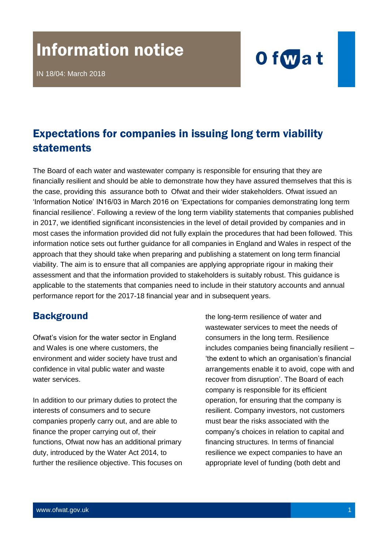# Information notice

IN 18/04: March 2018



## Expectations for companies in issuing long term viability statements

The Board of each water and wastewater company is responsible for ensuring that they are financially resilient and should be able to demonstrate how they have assured themselves that this is the case, providing this assurance both to Ofwat and their wider stakeholders. Ofwat issued an 'Information Notice' IN16/03 in March 2016 on 'Expectations for companies demonstrating long term financial resilience'. Following a review of the long term viability statements that companies published in 2017, we identified significant inconsistencies in the level of detail provided by companies and in most cases the information provided did not fully explain the procedures that had been followed. This information notice sets out further guidance for all companies in England and Wales in respect of the approach that they should take when preparing and publishing a statement on long term financial viability. The aim is to ensure that all companies are applying appropriate rigour in making their assessment and that the information provided to stakeholders is suitably robust. This guidance is applicable to the statements that companies need to include in their statutory accounts and annual performance report for the 2017-18 financial year and in subsequent years.

#### **Background**

Ofwat's vision for the water sector in England and Wales is one where customers, the environment and wider society have trust and confidence in vital public water and waste water services.

In addition to our primary duties to protect the interests of consumers and to secure companies properly carry out, and are able to finance the proper carrying out of, their functions, Ofwat now has an additional primary duty, introduced by the Water Act 2014, to further the resilience objective. This focuses on the long-term resilience of water and wastewater services to meet the needs of consumers in the long term. Resilience includes companies being financially resilient – 'the extent to which an organisation's financial arrangements enable it to avoid, cope with and recover from disruption'. The Board of each company is responsible for its efficient operation, for ensuring that the company is resilient. Company investors, not customers must bear the risks associated with the company's choices in relation to capital and financing structures. In terms of financial resilience we expect companies to have an appropriate level of funding (both debt and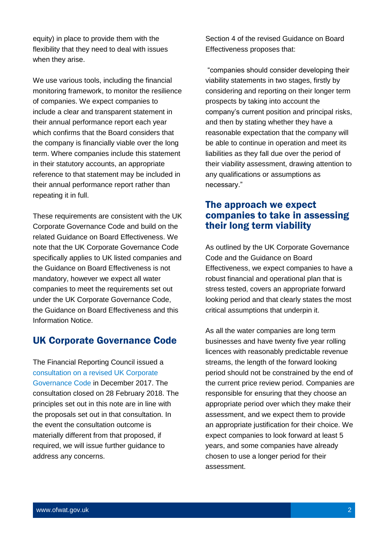equity) in place to provide them with the flexibility that they need to deal with issues when they arise.

We use various tools, including the financial monitoring framework, to monitor the resilience of companies. We expect companies to include a clear and transparent statement in their annual performance report each year which confirms that the Board considers that the company is financially viable over the long term. Where companies include this statement in their statutory accounts, an appropriate reference to that statement may be included in their annual performance report rather than repeating it in full.

These requirements are consistent with the UK Corporate Governance Code and build on the related Guidance on Board Effectiveness. We note that the UK Corporate Governance Code specifically applies to UK listed companies and the Guidance on Board Effectiveness is not mandatory, however we expect all water companies to meet the requirements set out under the UK Corporate Governance Code, the Guidance on Board Effectiveness and this Information Notice.

#### UK Corporate Governance Code

The Financial Reporting Council issued a [consultation on a](https://frc.org.uk/consultation-list/2017/consulting-on-a-revised-uk-corporate-governance-co) revised UK Corporate [Governance Code](https://frc.org.uk/consultation-list/2017/consulting-on-a-revised-uk-corporate-governance-co) in December 2017. The consultation closed on 28 February 2018. The principles set out in this note are in line with the proposals set out in that consultation. In the event the consultation outcome is materially different from that proposed, if required, we will issue further guidance to address any concerns.

Section 4 of the revised Guidance on Board Effectiveness proposes that:

"companies should consider developing their viability statements in two stages, firstly by considering and reporting on their longer term prospects by taking into account the company's current position and principal risks, and then by stating whether they have a reasonable expectation that the company will be able to continue in operation and meet its liabilities as they fall due over the period of their viability assessment, drawing attention to any qualifications or assumptions as necessary."

#### The approach we expect companies to take in assessing their long term viability

As outlined by the UK Corporate Governance Code and the Guidance on Board Effectiveness, we expect companies to have a robust financial and operational plan that is stress tested, covers an appropriate forward looking period and that clearly states the most critical assumptions that underpin it.

As all the water companies are long term businesses and have twenty five year rolling licences with reasonably predictable revenue streams, the length of the forward looking period should not be constrained by the end of the current price review period. Companies are responsible for ensuring that they choose an appropriate period over which they make their assessment, and we expect them to provide an appropriate justification for their choice. We expect companies to look forward at least 5 years, and some companies have already chosen to use a longer period for their assessment.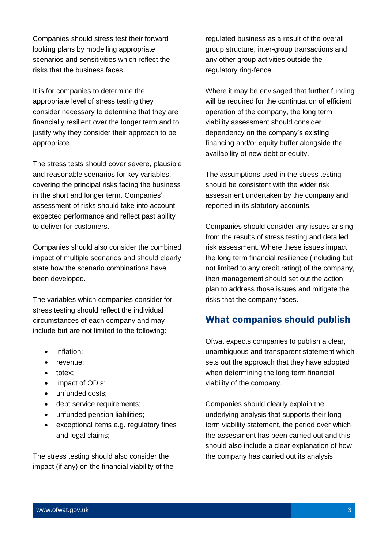Companies should stress test their forward looking plans by modelling appropriate scenarios and sensitivities which reflect the risks that the business faces.

It is for companies to determine the appropriate level of stress testing they consider necessary to determine that they are financially resilient over the longer term and to justify why they consider their approach to be appropriate.

The stress tests should cover severe, plausible and reasonable scenarios for key variables, covering the principal risks facing the business in the short and longer term. Companies' assessment of risks should take into account expected performance and reflect past ability to deliver for customers.

Companies should also consider the combined impact of multiple scenarios and should clearly state how the scenario combinations have been developed.

The variables which companies consider for stress testing should reflect the individual circumstances of each company and may include but are not limited to the following:

- inflation;
- revenue;
- totex;
- impact of ODIs;
- unfunded costs;
- debt service requirements:
- unfunded pension liabilities;
- exceptional items e.g. regulatory fines and legal claims;

The stress testing should also consider the impact (if any) on the financial viability of the regulated business as a result of the overall group structure, inter-group transactions and any other group activities outside the regulatory ring-fence.

Where it may be envisaged that further funding will be required for the continuation of efficient operation of the company, the long term viability assessment should consider dependency on the company's existing financing and/or equity buffer alongside the availability of new debt or equity.

The assumptions used in the stress testing should be consistent with the wider risk assessment undertaken by the company and reported in its statutory accounts.

Companies should consider any issues arising from the results of stress testing and detailed risk assessment. Where these issues impact the long term financial resilience (including but not limited to any credit rating) of the company, then management should set out the action plan to address those issues and mitigate the risks that the company faces.

#### What companies should publish

Ofwat expects companies to publish a clear, unambiguous and transparent statement which sets out the approach that they have adopted when determining the long term financial viability of the company.

Companies should clearly explain the underlying analysis that supports their long term viability statement, the period over which the assessment has been carried out and this should also include a clear explanation of how the company has carried out its analysis.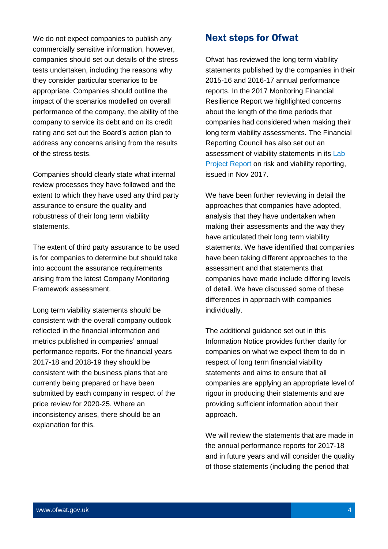We do not expect companies to publish any commercially sensitive information, however, companies should set out details of the stress tests undertaken, including the reasons why they consider particular scenarios to be appropriate. Companies should outline the impact of the scenarios modelled on overall performance of the company, the ability of the company to service its debt and on its credit rating and set out the Board's action plan to address any concerns arising from the results of the stress tests.

Companies should clearly state what internal review processes they have followed and the extent to which they have used any third party assurance to ensure the quality and robustness of their long term viability statements.

The extent of third party assurance to be used is for companies to determine but should take into account the assurance requirements arising from the latest Company Monitoring Framework assessment.

Long term viability statements should be consistent with the overall company outlook reflected in the financial information and metrics published in companies' annual performance reports. For the financial years 2017-18 and 2018-19 they should be consistent with the business plans that are currently being prepared or have been submitted by each company in respect of the price review for 2020-25. Where an inconsistency arises, there should be an explanation for this.

#### Next steps for Ofwat

Ofwat has reviewed the long term viability statements published by the companies in their 2015-16 and 2016-17 annual performance reports. In the 2017 Monitoring Financial Resilience Report we highlighted concerns about the length of the time periods that companies had considered when making their long term viability assessments. The Financial Reporting Council has also set out an assessment of viability statements in its Lab [Project Report](https://www.frc.org.uk/getattachment/76e21dee-2be2-415f-b326-932e8a3fc1e6/Risk-and-Viability-Reporting.pdf) on risk and viability reporting, issued in Nov 2017.

We have been further reviewing in detail the approaches that companies have adopted, analysis that they have undertaken when making their assessments and the way they have articulated their long term viability statements. We have identified that companies have been taking different approaches to the assessment and that statements that companies have made include differing levels of detail. We have discussed some of these differences in approach with companies individually.

The additional guidance set out in this Information Notice provides further clarity for companies on what we expect them to do in respect of long term financial viability statements and aims to ensure that all companies are applying an appropriate level of rigour in producing their statements and are providing sufficient information about their approach.

We will review the statements that are made in the annual performance reports for 2017-18 and in future years and will consider the quality of those statements (including the period that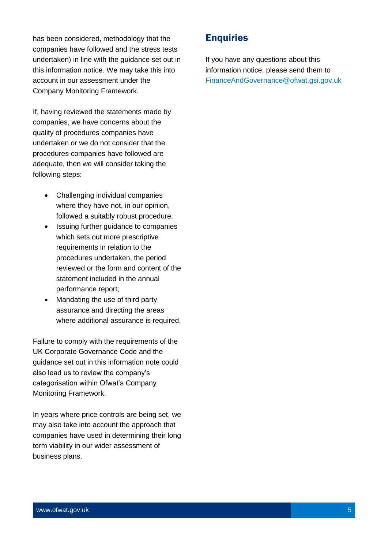has been considered, methodology that the companies have followed and the stress tests undertaken) in line with the guidance set out in this information notice. We may take this into account in our assessment under the Company Monitoring Framework.

If, having reviewed the statements made by companies, we have concerns about the quality of procedures companies have undertaken or we do not consider that the procedures companies have followed are adequate, then we will consider taking the following steps:

- Challenging individual companies where they have not, in our opinion, followed a suitably robust procedure.
- Issuing further guidance to companies which sets out more prescriptive requirements in relation to the procedures undertaken, the period reviewed or the form and content of the statement included in the annual performance report;
- Mandating the use of third party assurance and directing the areas where additional assurance is required.

Failure to comply with the requirements of the UK Corporate Governance Code and the guidance set out in this information note could also lead us to review the company's categorisation within Ofwat's Company Monitoring Framework.

In years where price controls are being set, we may also take into account the approach that companies have used in determining their long term viability in our wider assessment of business plans.

### **Enquiries**

If you have any questions about this information notice, please send them to [FinanceAndGovernance@ofwat.gsi.gov.uk](mailto:FinanceAndGovernance@ofwat.gsi.gov.uk)